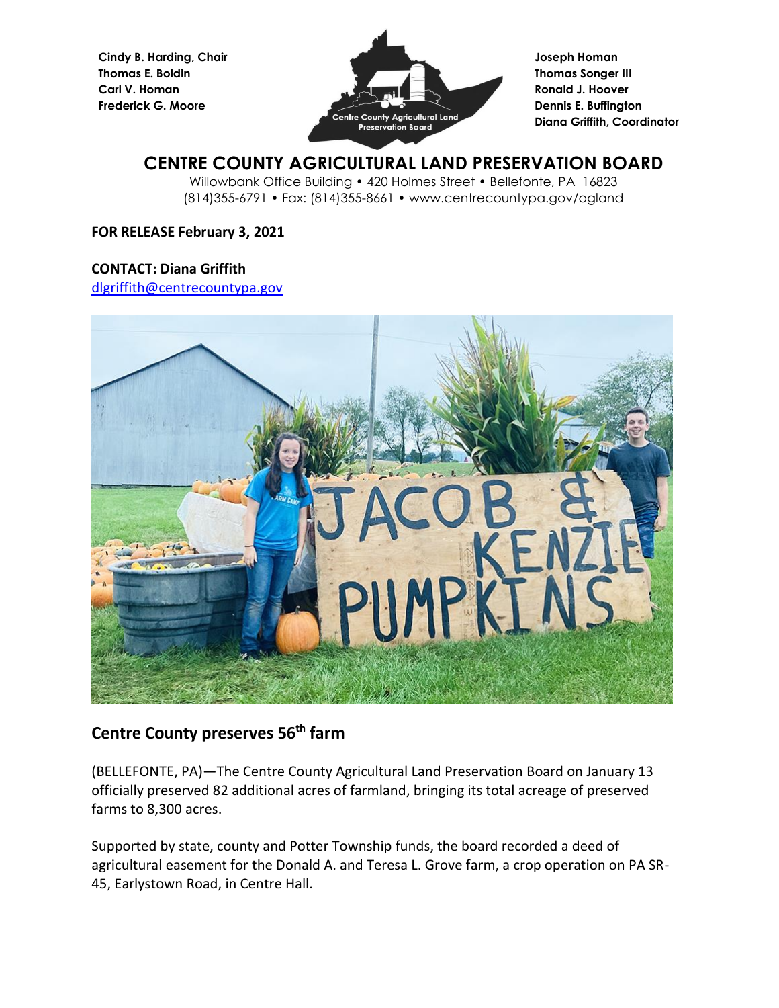**Cindy B. Harding, Chair Thomas E. Boldin Carl V. Homan Frederick G. Moore**



**Joseph Homan Thomas Songer III Ronald J. Hoover Dennis E. Buffington Diana Griffith, Coordinator**

# **CENTRE COUNTY AGRICULTURAL LAND PRESERVATION BOARD**

Willowbank Office Building • 420 Holmes Street • Bellefonte, PA 16823 (814)355-6791 • Fax: (814)355-8661 • www.centrecountypa.gov/agland

## **FOR RELEASE February 3, 2021**

#### **CONTACT: Diana Griffith**

[dlgriffith@centrecountypa.gov](mailto:dlgriffith@centrecountypa.gov)



# **Centre County preserves 56 th farm**

(BELLEFONTE, PA)—The Centre County Agricultural Land Preservation Board on January 13 officially preserved 82 additional acres of farmland, bringing its total acreage of preserved farms to 8,300 acres.

Supported by state, county and Potter Township funds, the board recorded a deed of agricultural easement for the Donald A. and Teresa L. Grove farm, a crop operation on PA SR-45, Earlystown Road, in Centre Hall.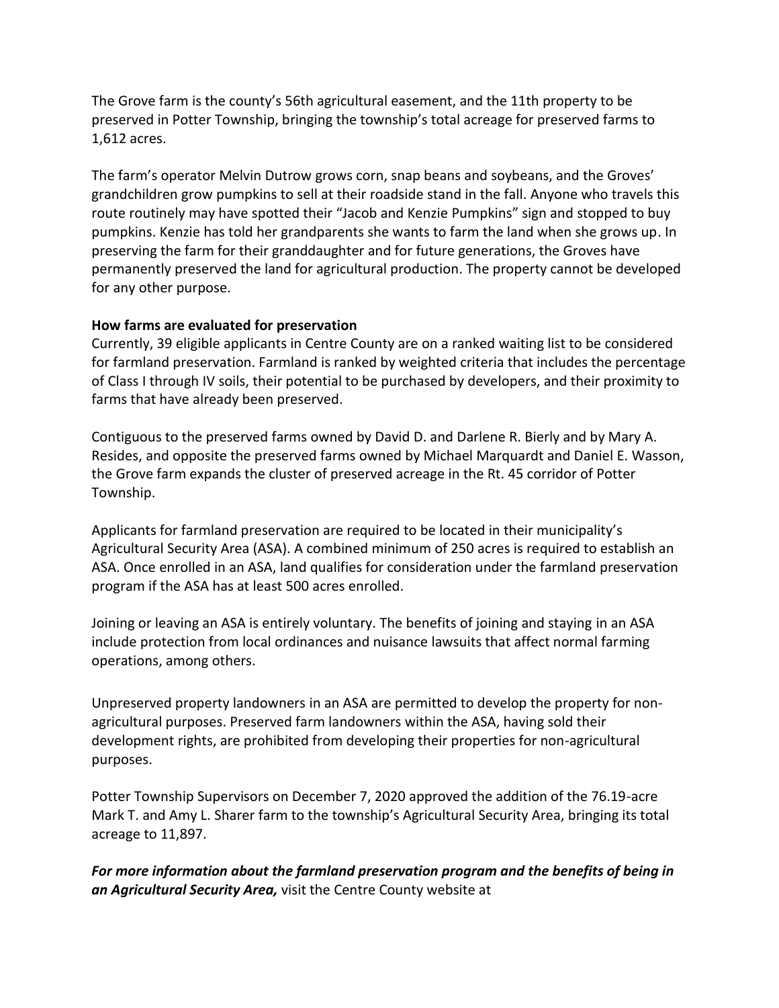The Grove farm is the county's 56th agricultural easement, and the 11th property to be preserved in Potter Township, bringing the township's total acreage for preserved farms to 1,612 acres.

The farm's operator Melvin Dutrow grows corn, snap beans and soybeans, and the Groves' grandchildren grow pumpkins to sell at their roadside stand in the fall. Anyone who travels this route routinely may have spotted their "Jacob and Kenzie Pumpkins" sign and stopped to buy pumpkins. Kenzie has told her grandparents she wants to farm the land when she grows up. In preserving the farm for their granddaughter and for future generations, the Groves have permanently preserved the land for agricultural production. The property cannot be developed for any other purpose.

### **How farms are evaluated for preservation**

Currently, 39 eligible applicants in Centre County are on a ranked waiting list to be considered for farmland preservation. Farmland is ranked by weighted criteria that includes the percentage of Class I through IV soils, their potential to be purchased by developers, and their proximity to farms that have already been preserved.

Contiguous to the preserved farms owned by David D. and Darlene R. Bierly and by Mary A. Resides, and opposite the preserved farms owned by Michael Marquardt and Daniel E. Wasson, the Grove farm expands the cluster of preserved acreage in the Rt. 45 corridor of Potter Township.

Applicants for farmland preservation are required to be located in their municipality's Agricultural Security Area (ASA). A combined minimum of 250 acres is required to establish an ASA. Once enrolled in an ASA, land qualifies for consideration under the farmland preservation program if the ASA has at least 500 acres enrolled.

Joining or leaving an ASA is entirely voluntary. The benefits of joining and staying in an ASA include protection from local ordinances and nuisance lawsuits that affect normal farming operations, among others.

Unpreserved property landowners in an ASA are permitted to develop the property for nonagricultural purposes. Preserved farm landowners within the ASA, having sold their development rights, are prohibited from developing their properties for non-agricultural purposes.

Potter Township Supervisors on December 7, 2020 approved the addition of the 76.19-acre Mark T. and Amy L. Sharer farm to the township's Agricultural Security Area, bringing its total acreage to 11,897.

*For more information about the farmland preservation program and the benefits of being in an Agricultural Security Area,* visit the Centre County website at